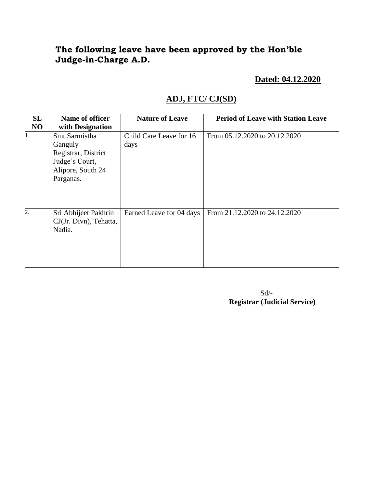## **The following leave have been approved by the Hon'ble Judge-in-Charge A.D.**

 **Dated: 04.12.2020**

## **ADJ, FTC/ CJ(SD)**

| <b>SL</b>      | Name of officer                                                                                     | <b>Nature of Leave</b>          | <b>Period of Leave with Station Leave</b> |
|----------------|-----------------------------------------------------------------------------------------------------|---------------------------------|-------------------------------------------|
| NO             | with Designation                                                                                    |                                 |                                           |
| 11.            | Smt.Sarmistha<br>Ganguly<br>Registrar, District<br>Judge's Court,<br>Alipore, South 24<br>Parganas. | Child Care Leave for 16<br>days | From 05.12.2020 to 20.12.2020             |
| $\overline{c}$ | Sri Abhijeet Pakhrin<br>CJ(Jr. Divn), Tehatta,<br>Nadia.                                            | Earned Leave for 04 days        | From 21.12.2020 to 24.12.2020             |

 Sd/-  **Registrar (Judicial Service)**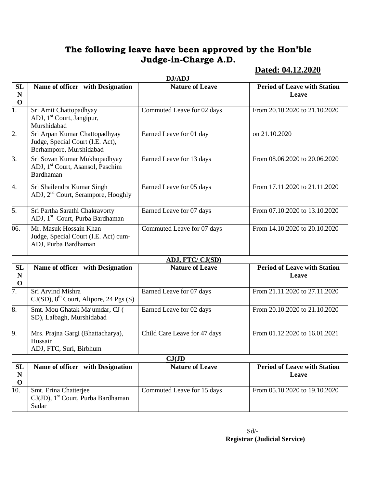## **The following leave have been approved by the Hon'ble Judge-in-Charge A.D.**

### **Dated: 04.12.2020**

|                        | DJ/ADJ                                                                                       |                            |                                              |  |
|------------------------|----------------------------------------------------------------------------------------------|----------------------------|----------------------------------------------|--|
| SL<br>N<br>$\mathbf 0$ | Name of officer with Designation                                                             | <b>Nature of Leave</b>     | <b>Period of Leave with Station</b><br>Leave |  |
| 1.                     | Sri Amit Chattopadhyay<br>ADJ, 1 <sup>st</sup> Court, Jangipur,<br>Murshidabad               | Commuted Leave for 02 days | From 20.10.2020 to 21.10.2020                |  |
| $\overline{2}$ .       | Sri Arpan Kumar Chattopadhyay<br>Judge, Special Court (I.E. Act),<br>Berhampore, Murshidabad | Earned Leave for 01 day    | on 21.10.2020                                |  |
| $\overline{3}$ .       | Sri Sovan Kumar Mukhopadhyay<br>ADJ, 1 <sup>st</sup> Court, Asansol, Paschim<br>Bardhaman    | Earned Leave for 13 days   | From 08.06.2020 to 20.06.2020                |  |
| 4.                     | Sri Shailendra Kumar Singh<br>ADJ, 2 <sup>nd</sup> Court, Serampore, Hooghly                 | Earned Leave for 05 days   | From 17.11.2020 to 21.11.2020                |  |
| 5.                     | Sri Partha Sarathi Chakravorty<br>ADJ, 1 <sup>st</sup> Court, Purba Bardhaman                | Earned Leave for 07 days   | From 07.10.2020 to 13.10.2020                |  |
| 06.                    | Mr. Masuk Hossain Khan<br>Judge, Special Court (I.E. Act) cum-<br>ADJ, Purba Bardhaman       | Commuted Leave for 07 days | From 14.10.2020 to 20.10.2020                |  |
|                        | <b>ADJ, FTC/ CJ(SD)</b>                                                                      |                            |                                              |  |
| <b>SL</b><br>N         | Name of officer with Designation                                                             | <b>Nature of Leave</b>     | <b>Period of Leave with Station</b><br>Leave |  |

| N<br>$\bf{0}$ |                                                                         |                              | Leave                         |
|---------------|-------------------------------------------------------------------------|------------------------------|-------------------------------|
| 7.            | Sri Arvind Mishra<br>$CJ(SD)$ , $8th$ Court, Alipore, 24 Pgs (S)        | Earned Leave for 07 days     | From 21.11.2020 to 27.11.2020 |
| 8.            | Smt. Mou Ghatak Majumdar, CJ (<br>SD), Lalbagh, Murshidabad             | Earned Leave for 02 days     | From 20.10.2020 to 21.10.2020 |
| 9.            | Mrs. Prajna Gargi (Bhattacharya),<br>Hussain<br>ADJ, FTC, Suri, Birbhum | Child Care Leave for 47 days | From 01.12.2020 to 16.01.2021 |

| $\mathbb{C}\mathbf{J}(\mathbf{JD}% )=\mathbb{Z}^{T}\times\mathbb{Z}^{T}\times\mathbb{Z}^{T}$ |                                                   |                            |                                     |  |
|----------------------------------------------------------------------------------------------|---------------------------------------------------|----------------------------|-------------------------------------|--|
| <b>SL</b>                                                                                    | Name of officer with Designation                  | <b>Nature of Leave</b>     | <b>Period of Leave with Station</b> |  |
| N                                                                                            |                                                   |                            | Leave                               |  |
|                                                                                              |                                                   |                            |                                     |  |
| 10.                                                                                          | Smt. Erina Chatterjee                             | Commuted Leave for 15 days | From 05.10.2020 to 19.10.2020       |  |
|                                                                                              | $CJ(JD)$ , 1 <sup>st</sup> Court, Purba Bardhaman |                            |                                     |  |
|                                                                                              | Sadar                                             |                            |                                     |  |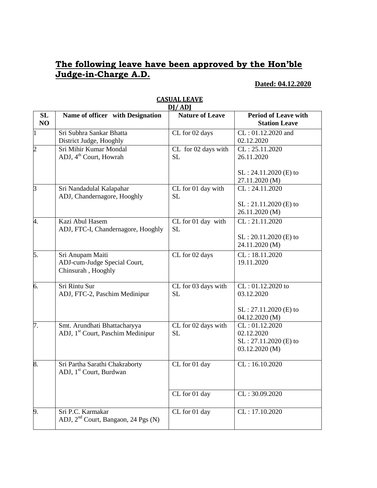## **The following leave have been approved by the Hon'ble Judge-in-Charge A.D.**

#### **Dated: 04.12.2020**

|                | DI/ADI                                                                        |                                                      |                                                                              |  |
|----------------|-------------------------------------------------------------------------------|------------------------------------------------------|------------------------------------------------------------------------------|--|
| SL<br>NO       | Name of officer with Designation                                              | <b>Nature of Leave</b>                               | <b>Period of Leave with</b><br><b>Station Leave</b>                          |  |
| 1              | Sri Subhra Sankar Bhatta<br>District Judge, Hooghly                           | CL for 02 days                                       | CL: 01.12.2020 and<br>02.12.2020                                             |  |
| $\overline{2}$ | Sri Mihir Kumar Mondal<br>ADJ, 4 <sup>th</sup> Court, Howrah                  | $\overline{\text{CL}}$ for 02 days with<br><b>SL</b> | CL: 25.11.2020<br>26.11.2020                                                 |  |
|                |                                                                               |                                                      | SL: 24.11.2020 (E) to<br>27.11.2020 (M)                                      |  |
| 3              | Sri Nandadulal Kalapahar<br>ADJ, Chandernagore, Hooghly                       | CL for 01 day with<br><b>SL</b>                      | CL: 24.11.2020<br>SL: 21.11.2020 (E) to<br>26.11.2020 (M)                    |  |
| 4.             | Kazi Abul Hasem<br>ADJ, FTC-I, Chandernagore, Hooghly                         | CL for 01 day with<br><b>SL</b>                      | CL: 21.11.2020<br>$SL: 20.11.2020$ (E) to<br>24.11.2020 (M)                  |  |
| 5.             | Sri Anupam Maiti<br>ADJ-cum-Judge Special Court,<br>Chinsurah, Hooghly        | CL for 02 days                                       | CL: 18.11.2020<br>19.11.2020                                                 |  |
| 6.             | Sri Rintu Sur<br>ADJ, FTC-2, Paschim Medinipur                                | CL for 03 days with<br><b>SL</b>                     | CL: 01.12.2020 to<br>03.12.2020<br>$SL: 27.11.2020$ (E) to<br>04.12.2020 (M) |  |
| 7.             | Smt. Arundhati Bhattacharyya<br>ADJ, 1 <sup>st</sup> Court, Paschim Medinipur | CL for 02 days with<br><b>SL</b>                     | CL: 01.12.2020<br>02.12.2020<br>SL: 27.11.2020 (E) to<br>03.12.2020 (M)      |  |
| 8.             | Sri Partha Sarathi Chakraborty<br>ADJ, 1 <sup>st</sup> Court, Burdwan         | CL for 01 day                                        | CL: 16.10.2020                                                               |  |
|                |                                                                               | CL for 01 day                                        | CL: 30.09.2020                                                               |  |
| 9.             | Sri P.C. Karmakar<br>ADJ, 2 <sup>nd</sup> Court, Bangaon, 24 Pgs (N)          | CL for 01 day                                        | CL: 17.10.2020                                                               |  |

# **CASUAL LEAVE**